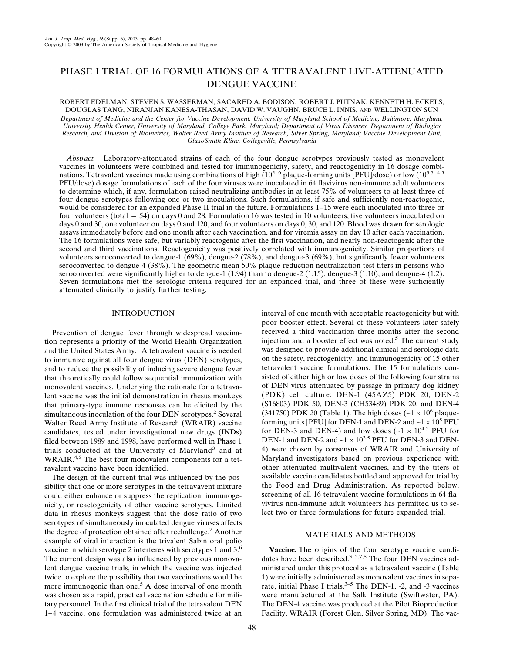# PHASE I TRIAL OF 16 FORMULATIONS OF A TETRAVALENT LIVE-ATTENUATED DENGUE VACCINE

ROBERT EDELMAN, STEVEN S. WASSERMAN, SACARED A. BODISON, ROBERT J. PUTNAK, KENNETH H. ECKELS, DOUGLAS TANG, NIRANJAN KANESA-THASAN, DAVID W. VAUGHN, BRUCE L. INNIS, AND WELLINGTON SUN

*Department of Medicine and the Center for Vaccine Development, University of Maryland School of Medicine, Baltimore, Maryland; University Health Center, University of Maryland, College Park, Maryland; Department of Virus Diseases, Department of Biologics Research, and Division of Biometrics, Walter Reed Army Institute of Research, Silver Spring, Maryland; Vaccine Development Unit, GlaxoSmith Kline, Collegeville, Pennsylvania*

*Abstract.* Laboratory-attenuated strains of each of the four dengue serotypes previously tested as monovalent vaccines in volunteers were combined and tested for immunogenicity, safety, and reactogenicity in 16 dosage combinations. Tetravalent vaccines made using combinations of high (10<sup>5−6</sup> plaque-forming units [PFU]/dose) or low (10<sup>3.5−4.5</sup> PFU/dose) dosage formulations of each of the four viruses were inoculated in 64 flavivirus non-immune adult volunteers to determine which, if any, formulation raised neutralizing antibodies in at least 75% of volunteers to at least three of four dengue serotypes following one or two inoculations. Such formulations, if safe and sufficiently non-reactogenic, would be considered for an expanded Phase II trial in the future. Formulations 1−15 were each inoculated into three or four volunteers (total  $=$  54) on days 0 and 28. Formulation 16 was tested in 10 volunteers, five volunteers inoculated on days 0 and 30, one volunteer on days 0 and 120, and four volunteers on days 0, 30, and 120. Blood was drawn for serologic assays immediately before and one month after each vaccination, and for viremia assay on day 10 after each vaccination. The 16 formulations were safe, but variably reactogenic after the first vaccination, and nearly non-reactogenic after the second and third vaccinations. Reactogenicity was positively correlated with immunogenicity. Similar proportions of volunteers seroconverted to dengue-1 (69%), dengue-2 (78%), and dengue-3 (69%), but significantly fewer volunteers seroconverted to dengue-4 (38%). The geometric mean 50% plaque reduction neutralization test titers in persons who seroconverted were significantly higher to dengue-1 (1:94) than to dengue-2 (1:15), dengue-3 (1:10), and dengue-4 (1:2). Seven formulations met the serologic criteria required for an expanded trial, and three of these were sufficiently attenuated clinically to justify further testing.

# INTRODUCTION

Prevention of dengue fever through widespread vaccination represents a priority of the World Health Organization and the United States Army.<sup>1</sup> A tetravalent vaccine is needed to immunize against all four dengue virus (DEN) serotypes, and to reduce the possibility of inducing severe dengue fever that theoretically could follow sequential immunization with monovalent vaccines. Underlying the rationale for a tetravalent vaccine was the initial demonstration in rhesus monkeys that primary-type immune responses can be elicited by the simultaneous inoculation of the four DEN serotypes.<sup>2</sup> Several Walter Reed Army Institute of Research (WRAIR) vaccine candidates, tested under investigational new drugs (INDs) filed between 1989 and 1998, have performed well in Phase 1 trials conducted at the University of Maryland<sup>3</sup> and at WRAIR.<sup>4,5</sup> The best four monovalent components for a tetravalent vaccine have been identified.

The design of the current trial was influenced by the possibility that one or more serotypes in the tetravavent mixture could either enhance or suppress the replication, immunogenicity, or reactogenicity of other vaccine serotypes. Limited data in rhesus monkeys suggest that the dose ratio of two serotypes of simultaneously inoculated dengue viruses affects the degree of protection obtained after rechallenge.<sup>2</sup> Another example of viral interaction is the trivalent Sabin oral polio vaccine in which serotype 2 interferes with serotypes 1 and 3.6 The current design was also influenced by previous monovalent dengue vaccine trials, in which the vaccine was injected twice to explore the possibility that two vaccinations would be more immunogenic than one.<sup>5</sup> A dose interval of one month was chosen as a rapid, practical vaccination schedule for military personnel. In the first clinical trial of the tetravalent DEN 1−4 vaccine, one formulation was administered twice at an interval of one month with acceptable reactogenicity but with poor booster effect. Several of these volunteers later safely received a third vaccination three months after the second injection and a booster effect was noted.<sup>5</sup> The current study was designed to provide additional clinical and serologic data on the safety, reactogenicity, and immunogenicity of 15 other tetravalent vaccine formulations. The 15 formulations consisted of either high or low doses of the following four strains of DEN virus attenuated by passage in primary dog kidney (PDK) cell culture: DEN-1 (45AZ5) PDK 20, DEN-2 (S16803) PDK 50, DEN-3 (CH53489) PDK 20, and DEN-4 (341750) PDK 20 (Table 1). The high doses ( $~1 \times 10^6$  plaqueforming units [PFU] for DEN-1 and DEN-2 and ~ $1 \times 10^5$  PFU for DEN-3 and DEN-4) and low doses ( $\sim$ 1 × 10<sup>4.5</sup> PFU for DEN-1 and DEN-2 and ~1 × 10<sup>3.5</sup> PFU for DEN-3 and DEN-4) were chosen by consensus of WRAIR and University of Maryland investigators based on previous experience with other attenuated multivalent vaccines, and by the titers of available vaccine candidates bottled and approved for trial by the Food and Drug Administration. As reported below, screening of all 16 tetravalent vaccine formulations in 64 flavivirus non-immune adult volunteers has permitted us to select two or three formulations for future expanded trial.

# MATERIALS AND METHODS

**Vaccine.** The origins of the four serotype vaccine candidates have been described.<sup>3–5,7,8</sup> The four DEN vaccines administered under this protocol as a tetravalent vaccine (Table 1) were initially administered as monovalent vaccines in separate, initial Phase I trials.<sup>3–5</sup> The DEN-1, -2, and -3 vaccines were manufactured at the Salk Institute (Swiftwater, PA). The DEN-4 vaccine was produced at the Pilot Bioproduction Facility, WRAIR (Forest Glen, Silver Spring, MD). The vac-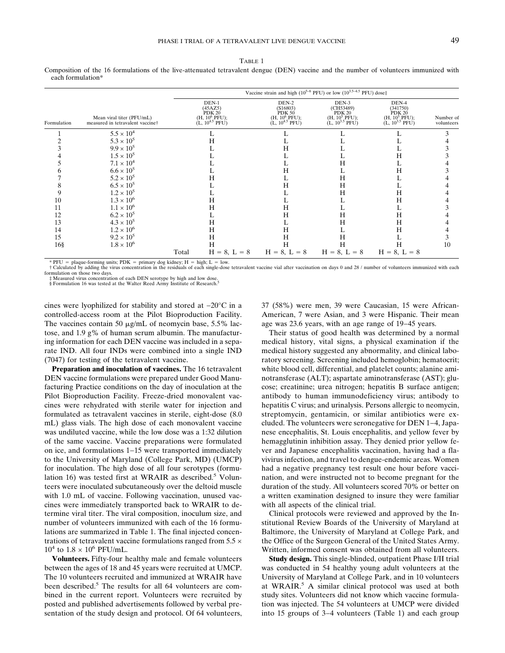TABLE 1

Composition of the 16 formulations of the live-attenuated tetravalent dengue (DEN) vaccine and the number of volunteers immunized with each formulation\*

|             |                                                               |                                                                   | Vaccine strain and high ( $10^{5-6}$ PFU) or low ( $10^{3.5-4.5}$ PFU) dose‡          |                                                                                                 |                                                                                        |                         |
|-------------|---------------------------------------------------------------|-------------------------------------------------------------------|---------------------------------------------------------------------------------------|-------------------------------------------------------------------------------------------------|----------------------------------------------------------------------------------------|-------------------------|
| Formulation | Mean viral titer (PFU/mL)<br>measured in tetravalent vaccine† | DEN-1<br>(45AZ5)<br>PDK 20<br>$(H, 106 PFU);$<br>(L, $104.5 PFU)$ | DEN-2<br>(S16803)<br>PDK 50<br>$(H, 10^6 \text{ PFU});$<br>(L, 10 <sup>4.5</sup> PFU) | DEN-3<br>(CH53489)<br><b>PDK 20</b><br>(H, 10 <sup>5</sup> PFU);<br>$(L, 10^{3.5} \text{ PFU})$ | DEN-4<br>(341750)<br>PDK 20<br>(H, 10 <sup>5</sup> PFU);<br>(L, 10 <sup>3.5</sup> PFU) | Number of<br>volunteers |
|             | $5.5 \times 10^{4}$                                           |                                                                   |                                                                                       |                                                                                                 |                                                                                        |                         |
|             | $5.3 \times 10^{5}$                                           |                                                                   |                                                                                       |                                                                                                 |                                                                                        |                         |
|             | $9.9 \times 10^{5}$                                           |                                                                   | Н                                                                                     |                                                                                                 |                                                                                        |                         |
|             | $1.5 \times 10^{5}$                                           |                                                                   |                                                                                       |                                                                                                 | H                                                                                      |                         |
|             | $7.1 \times 10^{4}$                                           |                                                                   |                                                                                       | Н                                                                                               |                                                                                        |                         |
|             | $6.6 \times 10^{5}$                                           |                                                                   | н                                                                                     |                                                                                                 | H                                                                                      |                         |
|             | $5.2 \times 10^{5}$                                           |                                                                   |                                                                                       | Н                                                                                               |                                                                                        |                         |
|             | $6.5 \times 10^5$                                             |                                                                   | н                                                                                     | Н                                                                                               |                                                                                        |                         |
|             | $1.2 \times 10^{5}$                                           |                                                                   |                                                                                       | Н                                                                                               | Н                                                                                      |                         |
| 10          | $1.3 \times 10^{6}$                                           | Н                                                                 |                                                                                       |                                                                                                 | Н                                                                                      |                         |
| 11          | $1.1 \times 10^{6}$                                           | Н                                                                 | H                                                                                     |                                                                                                 |                                                                                        |                         |
| 12          | $6.2 \times 10^{5}$                                           |                                                                   | н                                                                                     | Н                                                                                               | Н                                                                                      |                         |
| 13          | $4.3 \times 10^{5}$                                           | Η                                                                 |                                                                                       | Н                                                                                               | Н                                                                                      |                         |
| 14          | $1.2 \times 10^{6}$                                           | Н                                                                 | H                                                                                     |                                                                                                 | H                                                                                      |                         |
| 15          | $9.2 \times 10^{5}$                                           | Н                                                                 | Н                                                                                     | Н                                                                                               |                                                                                        |                         |
| $16\$       | $1.8 \times 10^{6}$                                           | Н                                                                 | Н                                                                                     | Н                                                                                               |                                                                                        | 10                      |
|             |                                                               | Total<br>$H = 8, L = 8$                                           | $H = 8, L = 8$                                                                        | $H = 8, L = 8$                                                                                  | $H = 8, L = 8$                                                                         |                         |

\* PFU = plaque-forming units; PDK = primary dog kidney; H = high; L = low.<br>† Calculated by adding the virus concentration in the residuals of each single-dose tetravalent vaccine vial after vaccination on days 0 and 28 / n formulation on those two days.

‡ Measured virus concentration of each DEN serotype by high and low dose. § Formulation 16 was tested at the Walter Reed Army Institute of Research.

cines were lyophilized for stability and stored at −20°C in a controlled-access room at the Pilot Bioproduction Facility. The vaccines contain 50  $\mu$ g/mL of neomycin base, 5.5% lactose, and 1.9 g% of human serum albumin. The manufacturing information for each DEN vaccine was included in a separate IND. All four INDs were combined into a single IND

(7047) for testing of the tetravalent vaccine. **Preparation and inoculation of vaccines.** The 16 tetravalent

DEN vaccine formulations were prepared under Good Manufacturing Practice conditions on the day of inoculation at the Pilot Bioproduction Facility. Freeze-dried monovalent vaccines were rehydrated with sterile water for injection and formulated as tetravalent vaccines in sterile, eight-dose (8.0 mL) glass vials. The high dose of each monovalent vaccine was undiluted vaccine, while the low dose was a 1:32 dilution of the same vaccine. Vaccine preparations were formulated on ice, and formulations 1−15 were transported immediately to the University of Maryland (College Park, MD) (UMCP) for inoculation. The high dose of all four serotypes (formulation 16) was tested first at WRAIR as described.<sup>5</sup> Volunteers were inoculated subcutaneously over the deltoid muscle with 1.0 mL of vaccine. Following vaccination, unused vaccines were immediately transported back to WRAIR to determine viral titer. The viral composition, inoculum size, and number of volunteers immunized with each of the 16 formulations are summarized in Table 1. The final injected concentrations of tetravalent vaccine formulations ranged from  $5.5 \times$  $10^4$  to  $1.8 \times 10^6$  PFU/mL.

**Volunteers.** Fifty-four healthy male and female volunteers between the ages of 18 and 45 years were recruited at UMCP. The 10 volunteers recruited and immunized at WRAIR have been described.<sup>5</sup> The results for all 64 volunteers are combined in the current report. Volunteers were recruited by posted and published advertisements followed by verbal presentation of the study design and protocol. Of 64 volunteers, 37 (58%) were men, 39 were Caucasian, 15 were African-American, 7 were Asian, and 3 were Hispanic. Their mean age was 23.6 years, with an age range of 19−45 years.

Their status of good health was determined by a normal medical history, vital signs, a physical examination if the medical history suggested any abnormality, and clinical laboratory screening. Screening included hemoglobin; hematocrit; white blood cell, differential, and platelet counts; alanine aminotransferase (ALT); aspartate aminotransferase (AST); glucose; creatinine; urea nitrogen; hepatitis B surface antigen; antibody to human immunodeficiency virus; antibody to hepatitis C virus; and urinalysis. Persons allergic to neomycin, streptomycin, gentamicin, or similar antibiotics were excluded. The volunteers were seronegative for DEN 1−4, Japanese encephalitis, St. Louis encephalitis, and yellow fever by hemagglutinin inhibition assay. They denied prior yellow fever and Japanese encephalitis vaccination, having had a flavivirus infection, and travel to dengue-endemic areas. Women had a negative pregnancy test result one hour before vaccination, and were instructed not to become pregnant for the duration of the study. All volunteers scored 70% or better on a written examination designed to insure they were familiar with all aspects of the clinical trial.

Clinical protocols were reviewed and approved by the Institutional Review Boards of the University of Maryland at Baltimore, the University of Maryland at College Park, and the Office of the Surgeon General of the United States Army. Written, informed consent was obtained from all volunteers.

**Study design.** This single-blinded, outpatient Phase I/II trial was conducted in 54 healthy young adult volunteers at the University of Maryland at College Park, and in 10 volunteers at WRAIR.<sup>5</sup> A similar clinical protocol was used at both study sites. Volunteers did not know which vaccine formulation was injected. The 54 volunteers at UMCP were divided into 15 groups of 3−4 volunteers (Table 1) and each group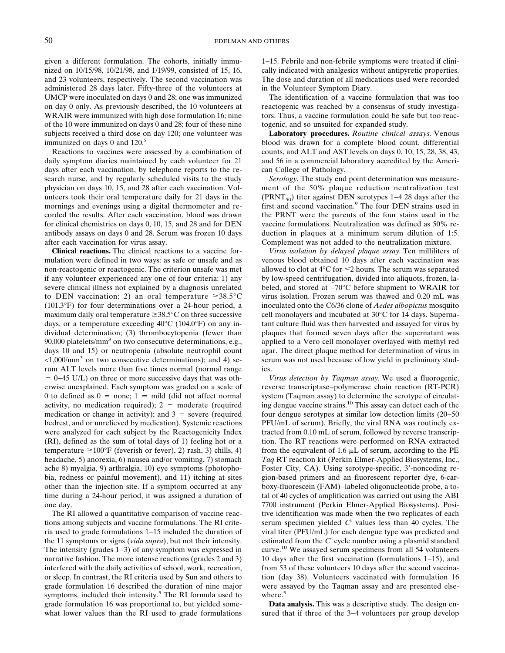given a different formulation. The cohorts, initially immunized on 10/15/98, 10/21/98, and 1/19/99, consisted of 15, 16, and 23 volunteers, respectively. The second vaccination was administered 28 days later. Fifty-three of the volunteers at UMCP were inoculated on days 0 and 28; one was immunized on day 0 only. As previously described, the 10 volunteers at WRAIR were immunized with high dose formulation 16; nine of the 10 were immunized on days 0 and 28; four of these nine subjects received a third dose on day 120; one volunteer was immunized on days 0 and 120.<sup>5</sup>

Reactions to vaccines were assessed by a combination of daily symptom diaries maintained by each volunteer for 21 days after each vaccination, by telephone reports to the research nurse, and by regularly scheduled visits to the study physician on days 10, 15, and 28 after each vaccination. Volunteers took their oral temperature daily for 21 days in the mornings and evenings using a digital thermometer and recorded the results. After each vaccination, blood was drawn for clinical chemistries on days 0, 10, 15, and 28 and for DEN antibody assays on days 0 and 28. Serum was frozen 10 days after each vaccination for virus assay.

**Clinical reactions.** The clinical reactions to a vaccine formulation were defined in two ways: as safe or unsafe and as non-reactogenic or reactogenic. The criterion unsafe was met if any volunteer experienced any one of four criteria: 1) any severe clinical illness not explained by a diagnosis unrelated to DEN vaccination; 2) an oral temperature  $\geq 38.5^{\circ}$ C (101.3°F) for four determinations over a 24-hour period, a maximum daily oral temperature  $\geq 38.5^{\circ}$ C on three successive days, or a temperature exceeding  $40^{\circ}$ C (104.0°F) on any individual determination; (3) thrombocytopenia (fewer than 90,000 platelets/ $\text{mm}^3$  on two consecutive determinations, e.g., days 10 and 15) or neutropenia (absolute neutrophil count  $\langle 1,000/\text{mm}^3$  on two consecutive determinations); and 4) serum ALT levels more than five times normal (normal range 0−45 U/L) on three or more successive days that was otherwise unexplained. Each symptom was graded on a scale of 0 to defined as  $0 =$  none; 1 = mild (did not affect normal activity, no medication required);  $2 =$  moderate (required medication or change in activity); and  $3$  = severe (required bedrest, and or unrelieved by medication). Systemic reactions were analyzed for each subject by the Reactogenicity Index (RI), defined as the sum of total days of 1) feeling hot or a temperature  $\geq 100^{\circ}$ F (feverish or fever), 2) rash, 3) chills, 4) headache, 5) anorexia, 6) nausea and/or vomiting, 7) stomach ache 8) myalgia, 9) arthralgia, 10) eye symptoms (photophobia, redness or painful movement), and 11) itching at sites other than the injection site. If a symptom occurred at any time during a 24-hour period, it was assigned a duration of one day.

The RI allowed a quantitative comparison of vaccine reactions among subjects and vaccine formulations. The RI criteria used to grade formulations 1−15 included the duration of the 11 symptoms or signs (*vida supra*), but not their intensity. The intensity (grades 1−3) of any symptom was expressed in narrative fashion. The more intense reactions (grades 2 and 3) interfered with the daily activities of school, work, recreation, or sleep. In contrast, the RI criteria used by Sun and others to grade formulation 16 described the duration of nine major symptoms, included their intensity.<sup>5</sup> The RI formula used to grade formulation 16 was proportional to, but yielded somewhat lower values than the RI used to grade formulations 1−15. Febrile and non-febrile symptoms were treated if clinically indicated with analgesics without antipyretic properties. The dose and duration of all medications used were recorded in the Volunteer Symptom Diary.

The identification of a vaccine formulation that was too reactogenic was reached by a consensus of study investigators. Thus, a vaccine formulation could be safe but too reactogenic, and so unsuited for expanded study.

**Laboratory procedures.** *Routine clinical assays.* Venous blood was drawn for a complete blood count, differential counts, and ALT and AST levels on days 0, 10, 15, 28, 38, 43, and 56 in a commercial laboratory accredited by the American College of Pathology.

*Serology.* The study end point determination was measurement of the 50% plaque reduction neutralization test (PRNT<sub>50</sub>) titer against DEN serotypes 1–4 28 days after the first and second vaccination.<sup>9</sup> The four DEN strains used in the PRNT were the parents of the four stains used in the vaccine formulations. Neutralization was defined as 50% reduction in plaques at a minimum serum dilution of 1:5. Complement was not added to the neutralization mixture.

*Virus isolation by delayed plaque assay.* Ten milliliters of venous blood obtained 10 days after each vaccination was allowed to clot at  $4^{\circ}$ C for  $\leq$ 2 hours. The serum was separated by low-speed centrifugation, divided into aliquots, frozen, labeled, and stored at −70°C before shipment to WRAIR for virus isolation. Frozen serum was thawed and 0.20 mL was inoculated onto the C6/36 clone of *Aedes albopictus* mosquito cell monolayers and incubated at 30°C for 14 days. Supernatant culture fluid was then harvested and assayed for virus by plaques that formed seven days after the supernatant was applied to a Vero cell monolayer overlayed with methyl red agar. The direct plaque method for determination of virus in serum was not used because of low yield in preliminary studies.

*Virus detection by Taqman assay.* We used a fluorogenic, reverse transcriptase−polymerase chain reaction (RT-PCR) system (Taqman assay) to determine the serotype of circulating dengue vaccine strains.10 This assay can detect each of the four dengue serotypes at similar low detection limits (20−50 PFU/mL of serum). Briefly, the viral RNA was routinely extracted from 0.10 mL of serum, followed by reverse transcription. The RT reactions were performed on RNA extracted from the equivalent of 1.6  $\mu$ L of serum, according to the PE *Taq* RT reaction kit (Perkin Elmer-Applied Biosystems, Inc., Foster City, CA). Using serotype-specific, 3'-noncoding region-based primers and an fluorescent reporter dye, 6-carboxy-fluorescein (FAM)−labeled oligonucleotide probe, a total of 40 cycles of amplification was carried out using the ABI 7700 instrument (Perkin Elmer-Applied Biosystems). Positive identification was made when the two replicates of each serum specimen yielded *C*<sup>t</sup> values less than 40 cycles. The viral titer (PFU/mL) for each dengue type was predicted and estimated from the *C*<sup>t</sup> cycle number using a plasmid standard curve.10 We assayed serum specimens from all 54 volunteers 10 days after the first vaccination (formulations 1−15), and from 53 of these volunteers 10 days after the second vaccination (day 38). Volunteers vaccinated with formulation 16 were assayed by the Taqman assay and are presented elsewhere.<sup>5</sup>

**Data analysis.** This was a descriptive study. The design ensured that if three of the 3–4 volunteers per group develop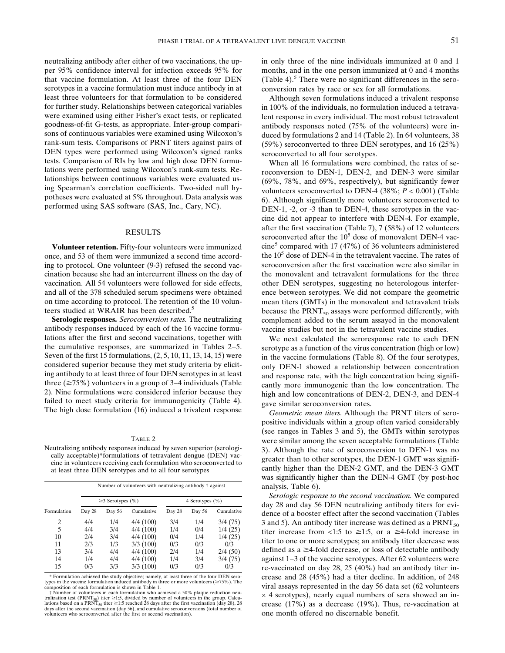neutralizing antibody after either of two vaccinations, the upper 95% confidence interval for infection exceeds 95% for that vaccine formulation. At least three of the four DEN serotypes in a vaccine formulation must induce antibody in at least three volunteers for that formulation to be considered for further study. Relationships between categorical variables were examined using either Fisher's exact tests, or replicated goodness-of-fit G-tests, as appropriate. Inter-group comparisons of continuous variables were examined using Wilcoxon's rank-sum tests. Comparisons of PRNT titers against pairs of DEN types were performed using Wilcoxon's signed ranks tests. Comparison of RIs by low and high dose DEN formulations were performed using Wilcoxon's rank-sum tests. Relationships between continuous variables were evaluated using Spearman's correlation coefficients. Two-sided null hypotheses were evaluated at 5% throughout. Data analysis was performed using SAS software (SAS, Inc., Cary, NC).

## RESULTS

**Volunteer retention.** Fifty-four volunteers were immunized once, and 53 of them were immunized a second time according to protocol. One volunteer (9-3) refused the second vaccination because she had an intercurrent illness on the day of vaccination. All 54 volunteers were followed for side effects, and all of the 378 scheduled serum specimens were obtained on time according to protocol. The retention of the 10 volunteers studied at WRAIR has been described.<sup>5</sup>

**Serologic responses.** *Seroconversion rates.* The neutralizing antibody responses induced by each of the 16 vaccine formulations after the first and second vaccinations, together with the cumulative responses, are summarized in Tables 2−5. Seven of the first 15 formulations, (2, 5, 10, 11, 13, 14, 15) were considered superior because they met study criteria by eliciting antibody to at least three of four DEN serotypes in at least three (≥75%) volunteers in a group of 3–4 individuals (Table 2). Nine formulations were considered inferior because they failed to meet study criteria for immunogenicity (Table 4). The high dose formulation (16) induced a trivalent response

### TABLE 2

Neutralizing antibody responses induced by seven superior (serologically acceptable)\*formulations of tetravalent dengue (DEN) vaccine in volunteers receiving each formulation who seroconverted to at least three DEN serotypes and to all four serotypes

|             |        |                        | Number of volunteers with neutralizing antibody † against |                 |        |            |  |  |
|-------------|--------|------------------------|-----------------------------------------------------------|-----------------|--------|------------|--|--|
|             |        | $\geq$ 3 Serotypes (%) |                                                           | 4 Serotypes (%) |        |            |  |  |
| Formulation | Day 28 | Day 56                 | Cumulative                                                | Day 28          | Day 56 | Cumulative |  |  |
| 2           | 4/4    | 1/4                    | 4/4(100)                                                  | 3/4             | 1/4    | 3/4(75)    |  |  |
| 5           | 4/4    | 3/4                    | 4/4(100)                                                  | 1/4             | 0/4    | 1/4(25)    |  |  |
| 10          | 2/4    | 3/4                    | 4/4(100)                                                  | 0/4             | 1/4    | 1/4(25)    |  |  |
| 11          | 2/3    | 1/3                    | 3/3(100)                                                  | 0/3             | 0/3    | 0/3        |  |  |
| 13          | 3/4    | 4/4                    | 4/4(100)                                                  | 2/4             | 1/4    | 2/4(50)    |  |  |
| 14          | 1/4    | 4/4                    | 4/4(100)                                                  | 1/4             | 3/4    | 3/4(75)    |  |  |
| 15          | 0/3    | 3/3                    | 3/3(100)                                                  | 0/3             | 0/3    | 0/3        |  |  |

\* Formulation achieved the study objective; namely, at least three of the four DEN serotypes in the vaccine formulation induced antibody in three or more volunteers  $(\geq 75\%)$ . The composition of each formulation is shown in Table 1.

† Number of volunteers in each formulation who achieved a 50% plaque reduction neutralization test (PRNT<sub>s0</sub>) titer ≥1:5, divided by number of volunteers in the group. Calcu-<br>lations based on a PRNT<sub>s0</sub> titer ≥1:5 reached 28 days after the first vaccination (day 28), 28<br>days after the second vaccinatio volunteers who seroconverted after the first or second vaccination).

in only three of the nine individuals immunized at 0 and 1 months, and in the one person immunized at 0 and 4 months (Table 4). $^5$  There were no significant differences in the seroconversion rates by race or sex for all formulations.

Although seven formulations induced a trivalent response in 100% of the individuals, no formulation induced a tetravalent response in every individual. The most robust tetravalent antibody responses noted (75% of the volunteers) were induced by formulations 2 and 14 (Table 2). In 64 volunteers, 38 (59%) seroconverted to three DEN serotypes, and 16 (25%) seroconverted to all four serotypes.

When all 16 formulations were combined, the rates of seroconversion to DEN-1, DEN-2, and DEN-3 were similar (69%, 78%, and 69%, respectively), but significantly fewer volunteers seroconverted to DEN-4 (38%; *P* < 0.001) (Table 6). Although significantly more volunteers seroconverted to DEN-1, -2, or -3 than to DEN-4, these serotypes in the vaccine did not appear to interfere with DEN-4. For example, after the first vaccination (Table 7), 7 (58%) of 12 volunteers seroconverted after the  $10<sup>5</sup>$  dose of monovalent DEN-4 vac $cine<sup>5</sup>$  compared with 17 (47%) of 36 volunteers administered the  $10<sup>5</sup>$  dose of DEN-4 in the tetravalent vaccine. The rates of seroconversion after the first vaccination were also similar in the monovalent and tetravalent formulations for the three other DEN serotypes, suggesting no heterologous interference between serotypes. We did not compare the geometric mean titers (GMTs) in the monovalent and tetravalent trials because the  $PRNT_{50}$  assays were performed differently, with complement added to the serum assayed in the monovalent vaccine studies but not in the tetravalent vaccine studies.

We next calculated the seroresponse rate to each DEN serotype as a function of the virus concentration (high or low) in the vaccine formulations (Table 8). Of the four serotypes, only DEN-1 showed a relationship between concentration and response rate, with the high concentration being significantly more immunogenic than the low concentration. The high and low concentrations of DEN-2, DEN-3, and DEN-4 gave similar seroconversion rates.

*Geometric mean titers.* Although the PRNT titers of seropositive individuals within a group often varied considerably (see ranges in Tables 3 and 5), the GMTs within serotypes were similar among the seven acceptable formulations (Table 3). Although the rate of seroconversion to DEN-1 was no greater than to other serotypes, the DEN-1 GMT was significantly higher than the DEN-2 GMT, and the DEN-3 GMT was significantly higher than the DEN-4 GMT (by post-hoc analysis, Table 6).

*Serologic response to the second vaccination.* We compared day 28 and day 56 DEN neutralizing antibody titers for evidence of a booster effect after the second vaccination (Tables 3 and 5). An antibody titer increase was defined as a  $PRNT<sub>50</sub>$ titer increase from  $\langle 1:5 \text{ to } \ge 1:5, \text{ or a } \ge 4 \text{-fold increase in} \rangle$ titer to one or more serotypes; an antibody titer decrease was defined as  $a \geq 4$ -fold decrease, or loss of detectable antibody against 1−3 of the vaccine serotypes. After 62 volunteers were re-vaccinated on day 28, 25 (40%) had an antibody titer increase and 28 (45%) had a titer decline. In addition, of 248 viral assays represented in the day 56 data set (62 volunteers  $\times$  4 serotypes), nearly equal numbers of sera showed an increase (17%) as a decrease (19%). Thus, re-vaccination at one month offered no discernable benefit.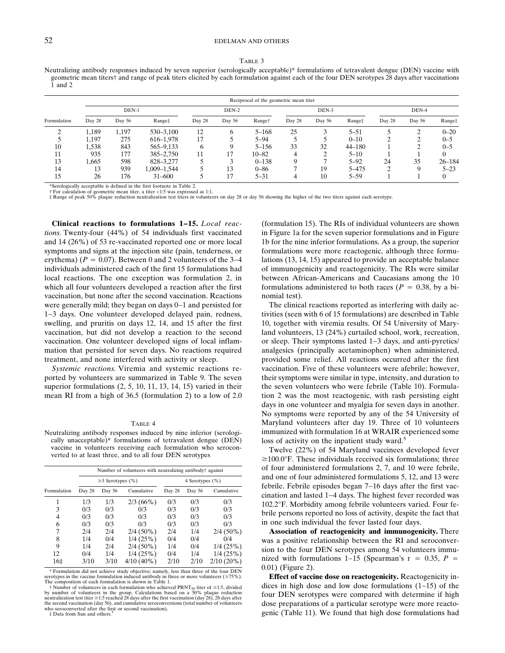#### TABLE 3

Neutralizing antibody responses induced by seven superior (serologically acceptable)\* formulations of tetravalent dengue (DEN) vaccine with geometric mean titers† and range of peak titers elicited by each formulation against each of the four DEN serotypes 28 days after vaccinations  $\overline{1}$  and 2.

|             | Reciprocal of the geometric mean titer |        |             |        |        |                    |        |        |            |        |        |            |  |
|-------------|----------------------------------------|--------|-------------|--------|--------|--------------------|--------|--------|------------|--------|--------|------------|--|
|             | $DEN-1$                                |        |             |        | DEN-2  |                    |        | DEN-3  |            |        | DEN-4  |            |  |
| Formulation | Day 28                                 | Day 56 | Range‡      | Day 28 | Day 56 | Range <sup>+</sup> | Day 28 | Day 56 | Range‡     | Day 28 | Day 56 | Range‡     |  |
| $\sim$      | 1.189                                  | 1.197  | 530-3.100   | 12     | 6      | $5 - 168$          | 25     |        | $5 - 51$   |        |        | $0 - 20$   |  |
|             | 1,197                                  | 275    | 616-1.978   | 17     |        | $5 - 94$           |        |        | $0 - 10$   |        |        | $0 - 5$    |  |
| 10          | 1,538                                  | 843    | 565–9,133   | 6      | Q      | $5 - 156$          | 33     | 32     | $44 - 180$ |        |        | $0 - 5$    |  |
| 11          | 935                                    | 177    | 385-2.750   | 11     | 17     | $10 - 82$          |        | ◠      | $5 - 10$   |        |        |            |  |
| 13          | 1.665                                  | 598    | 828-3.277   |        | $\sim$ | $0 - 138$          |        | −      | $5 - 92$   | 24     | 35     | $26 - 184$ |  |
| 14          | 13                                     | 939    | 1.009-1.544 |        | 13     | $0 - 86$           |        | 19     | $5 - 475$  | ◠      |        | $5 - 23$   |  |
| 15          | 26                                     | 176    | $31 - 600$  |        | 17     | $5 - 31$           |        | 10     | $5 - 59$   |        |        |            |  |

\*Serologically acceptable is defined in the first footnote in Table 2.

† For calculation of geometric mean titer, a titer <1:5 was expressed as 1:1.<br>‡ Range of peak 50% plaque reduction neutralization test titers in volunteers on day 28 or day 56 showing the higher of the two titers against

**Clinical reactions to formulations 1−15.** *Local reactions.* Twenty-four (44%) of 54 individuals first vaccinated and 14 (26%) of 53 re-vaccinated reported one or more local symptoms and signs at the injection site (pain, tenderness, or erythema) ( $P = 0.07$ ). Between 0 and 2 volunteers of the 3–4 individuals administered each of the first 15 formulations had local reactions. The one exception was formulation 2, in which all four volunteers developed a reaction after the first vaccination, but none after the second vaccination. Reactions were generally mild; they began on days 0−1 and persisted for 1−3 days. One volunteer developed delayed pain, redness, swelling, and pruritis on days 12, 14, and 15 after the first vaccination, but did not develop a reaction to the second vaccination. One volunteer developed signs of local inflammation that persisted for seven days. No reactions required treatment, and none interfered with activity or sleep.

*Systemic reactions.* Viremia and systemic reactions reported by volunteers are summarized in Table 9. The seven superior formulations (2, 5, 10, 11, 13, 14, 15) varied in their mean RI from a high of 36.5 (formulation 2) to a low of 2.0

#### TABLE 4

Neutralizing antibody responses induced by nine inferior (serologically unacceptable)\* formulations of tetravalent dengue (DEN) vaccine in volunteers receiving each formulation who seroconverted to at least three, and to all four DEN serotypes

|             |        | Number of volunteers with neutralizing antibody† against |              |                 |        |              |  |  |  |  |  |
|-------------|--------|----------------------------------------------------------|--------------|-----------------|--------|--------------|--|--|--|--|--|
|             |        | $\geq$ 3 Serotypes (%)                                   |              | 4 Serotypes (%) |        |              |  |  |  |  |  |
| Formulation | Day 28 | Day 56                                                   | Cumulative   | Day 28          | Day 56 | Cumulative   |  |  |  |  |  |
|             | 1/3    | 1/3                                                      | $2/3(66\%)$  | 0/3             | 0/3    | 0/3          |  |  |  |  |  |
| 3           | 0/3    | 0/3                                                      | 0/3          | 0/3             | 0/3    | 0/3          |  |  |  |  |  |
| 4           | 0/3    | 0/3                                                      | 0/3          | 0/3             | 0/3    | 0/3          |  |  |  |  |  |
| 6           | 0/3    | 0/3                                                      | 0/3          | 0/3             | 0/3    | 0/3          |  |  |  |  |  |
| 7           | 2/4    | 2/4                                                      | $2/4(50\%)$  | 2/4             | 1/4    | $2/4(50\%)$  |  |  |  |  |  |
| 8           | 1/4    | 0/4                                                      | 1/4(25%)     | 0/4             | 0/4    | 0/4          |  |  |  |  |  |
| 9           | 1/4    | 2/4                                                      | $2/4(50\%)$  | 1/4             | 0/4    | 1/4(25%)     |  |  |  |  |  |
| 12          | 0/4    | 1/4                                                      | 1/4(25%)     | 0/4             | 1/4    | 1/4(25%)     |  |  |  |  |  |
| 16‡         | 3/10   | 3/10                                                     | $4/10(40\%)$ | 2/10            | 2/10   | $2/10(20\%)$ |  |  |  |  |  |

\* Formulation did not achieve study objective; namely, less than three of the four DEN serotypes in the vaccine formulation induced antibody in three or more volunteers ( $\geq 75\%$ ). The composition of each formulation is shown in Table 1.

 $\dagger$  Number of volunteers in each formulation who achieved PRNT<sub>50</sub> titer of  $\geq 1.5$ , divided by number of volunteers in the group. Calculations based on a 50% plaque reduction neutralization test titer  $\geq 1.5$  reached 28 days after the first vaccination (day 28), 28 days after the second vaccination (day 56), and cumulative seroconversions (total number of volunteers who seroconverted after the first or second vaccination).

 $\ddagger$  Data from Sun and others.

(formulation 15). The RIs of individual volunteers are shown in Figure 1a for the seven superior formulations and in Figure 1b for the nine inferior formulations. As a group, the superior formulations were more reactogenic, although three formulations (13, 14, 15) appeared to provide an acceptable balance of immunogenicity and reactogenicity. The RIs were similar between African-Americans and Caucasians among the 10 formulations administered to both races ( $P = 0.38$ , by a binomial test).

The clinical reactions reported as interfering with daily activities (seen with 6 of 15 formulations) are described in Table 10, together with viremia results. Of 54 University of Maryland volunteers, 13 (24%) curtailed school, work, recreation, or sleep. Their symptoms lasted 1−3 days, and anti-pyretics/ analgesics (principally acetaminophen) when administered, provided some relief. All reactions occurred after the first vaccination. Five of these volunteers were afebrile; however, their symptoms were similar in type, intensity, and duration to the seven volunteers who were febrile (Table 10). Formulation 2 was the most reactogenic, with rash persisting eight days in one volunteer and myalgia for seven days in another. No symptoms were reported by any of the 54 University of Maryland volunteers after day 19. Three of 10 volunteers immunized with formulation 16 at WRAIR experienced some loss of activity on the inpatient study ward.<sup>5</sup>

Twelve (22%) of 54 Maryland vaccinees developed fever  $\geq$ 100.0°F. These individuals received six formulations; three of four administered formulations 2, 7, and 10 were febrile, and one of four administered formulations 5, 12, and 13 were febrile. Febrile episodes began 7−16 days after the first vaccination and lasted 1−4 days. The highest fever recorded was 102.2°F. Morbidity among febrile volunteers varied. Four febrile persons reported no loss of activity, despite the fact that in one such individual the fever lasted four days.

**Association of reactogenicity and immunogenicity.** There was a positive relationship between the RI and seroconversion to the four DEN serotypes among 54 volunteers immunized with formulations  $1-15$  (Spearman's r = 0.35, *P* = 0.01) (Figure 2).

**Effect of vaccine dose on reactogenicity.** Reactogenicity indices in high dose and low dose formulations (1−15) of the four DEN serotypes were compared with determine if high dose preparations of a particular serotype were more reactogenic (Table 11). We found that high dose formulations had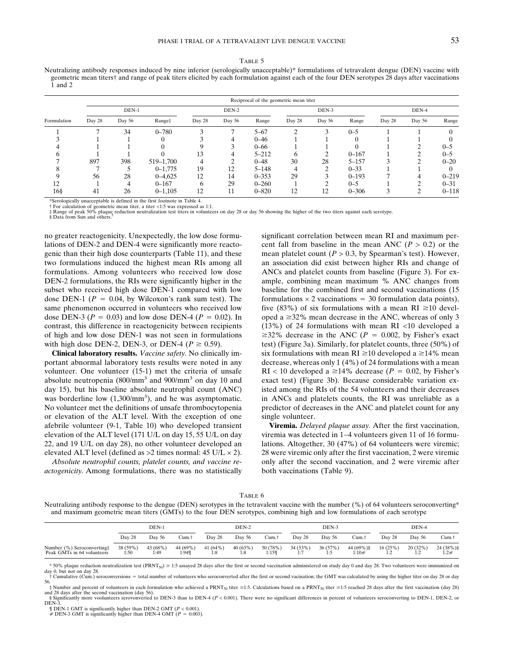#### TABLE 5

Neutralizing antibody responses induced by nine inferior (serologically unacceptable)\* formulations of tetravalent dengue (DEN) vaccine with geometric mean titers† and range of peak titers elicited by each formulation against each of the four DEN serotypes 28 days after vaccinations 1 and 2

|             | Reciprocal of the geometric mean titer |        |             |        |        |           |        |        |           |        |        |           |  |
|-------------|----------------------------------------|--------|-------------|--------|--------|-----------|--------|--------|-----------|--------|--------|-----------|--|
|             | DEN-1                                  |        |             |        | DEN-2  |           | DEN-3  |        |           |        | DEN-4  |           |  |
| Formulation | Day 28                                 | Day 56 | Range‡      | Day 28 | Day 56 | Range     | Day 28 | Day 56 | Range     | Day 28 | Day 56 | Range     |  |
|             |                                        | 34     | $0 - 780$   |        |        | $5 - 67$  | ◠      |        | $0 - 5$   |        |        |           |  |
|             |                                        |        |             |        |        | $0 - 46$  |        |        | 0         |        |        |           |  |
|             |                                        |        |             |        |        | $0 - 66$  |        |        |           |        |        | $0 - 5$   |  |
|             |                                        |        |             | 13     | 4      | $5 - 212$ | h      |        | $0 - 167$ |        |        | $0 - 5$   |  |
|             | 897                                    | 398    | 519-1,700   |        | ◠      | $0 - 48$  | 30     | 28     | $5 - 157$ |        |        | $0 - 20$  |  |
|             |                                        |        | $0 - 1.775$ | 19     | 12     | $5 - 148$ |        |        | $0 - 33$  |        |        |           |  |
|             | 56                                     | 28     | $0 - 4.625$ | 12     | 14     | $0 - 353$ | 29     |        | $0 - 193$ |        | 4      | $0 - 219$ |  |
| 12          |                                        | 4      | $0 - 167$   | h      | 29     | $0 - 260$ |        |        | $0 - 5$   |        |        | $0 - 31$  |  |
| $16\$       | 41                                     | 26     | $0 - 1,105$ | 12     |        | $0 - 820$ | 12     | 12     | $0 - 306$ |        | ◠      | $0 - 118$ |  |

\*Serologically unacceptable is defined in the first footnote in Table 4.

† For calculation of geometric mean titer, a titer <1:5 was expressed as 1:1.<br>‡ Range of peak 50% plaque reduction neutralization test titers in volunteers on day 28 or day 56 showing the higher of the two titers against

§ Data from Sun and others.<sup>5</sup>

no greater reactogenicity. Unexpectedly, the low dose formulations of DEN-2 and DEN-4 were significantly more reactogenic than their high dose counterparts (Table 11), and these two formulations induced the highest mean RIs among all formulations. Among volunteers who received low dose DEN-2 formulations, the RIs were significantly higher in the subset who received high dose DEN-1 compared with low dose DEN-1 ( $P = 0.04$ , by Wilcoxon's rank sum test). The same phenomenon occurred in volunteers who received low dose DEN-3 ( $P = 0.03$ ) and low dose DEN-4 ( $P = 0.02$ ). In contrast, this difference in reactogenicity between recipients of high and low dose DEN-1 was not seen in formulations with high dose DEN-2, DEN-3, or DEN-4 ( $P \ge 0.59$ ).

**Clinical laboratory results.** *Vaccine safety.* No clinically important abnormal laboratory tests results were noted in any volunteer. One volunteer (15-1) met the criteria of unsafe absolute neutropenia (800/mm3 and 900/mm3 on day 10 and day 15), but his baseline absolute neutrophil count (ANC) was borderline low  $(1,300/\text{mm}^3)$ , and he was asymptomatic. No volunteer met the definitions of unsafe thrombocytopenia or elevation of the ALT level. With the exception of one afebrile volunteer (9-1, Table 10) who developed transient elevation of the ALT level (171 U/L on day 15, 55 U/L on day 22, and 19 U/L on day 28), no other volunteer developed an elevated ALT level (defined as  $>2$  times normal: 45 U/L  $\times$  2).

*Absolute neutrophil counts, platelet counts, and vaccine reactogenicity.* Among formulations, there was no statistically significant correlation between mean RI and maximum percent fall from baseline in the mean ANC ( $P > 0.2$ ) or the mean platelet count  $(P > 0.3$ , by Spearman's test). However, an association did exist between higher RIs and change of ANCs and platelet counts from baseline (Figure 3). For example, combining mean maximum % ANC changes from baseline for the combined first and second vaccinations (15 formulations  $\times$  2 vaccinations = 30 formulation data points), five (83%) of six formulations with a mean RI  $\geq$ 10 developed a  $\geq$ 32% mean decrease in the ANC, whereas of only 3 (13%) of 24 formulations with mean RI <10 developed a  $\geq$ 32% decrease in the ANC (*P* = 0.002, by Fisher's exact test) (Figure 3a). Similarly, for platelet counts, three (50%) of six formulations with mean  $RI \ge 10$  developed a  $\ge 14\%$  mean decrease, whereas only 1 (4%) of 24 formulations with a mean  $RI < 10$  developed a  $\geq 14\%$  decrease ( $P = 0.02$ , by Fisher's exact test) (Figure 3b). Because considerable variation existed among the RIs of the 54 volunteers and their decreases in ANCs and platelets counts, the RI was unreliable as a predictor of decreases in the ANC and platelet count for any single volunteer.

**Viremia.** *Delayed plaque assay.* After the first vaccination, viremia was detected in 1−4 volunteers given 11 of 16 formulations. Altogether, 30 (47%) of 64 volunteers were viremic; 28 were viremic only after the first vaccination, 2 were viremic only after the second vaccination, and 2 were viremic after both vaccinations (Table 9).

TABLE 6

Neutralizing antibody response to the dengue (DEN) serotypes in the tetravalent vaccine with the number (%) of 64 volunteers seroconverting\* and maximum geometric mean titers (GMTs) to the four DEN serotypes, combining high and low formulations of each serotype

|                                                          | DEN-1            |                  |                   | DEN-2             |                | DEN-3             |                 | DEN-4          |                          |                        |                                  |                    |
|----------------------------------------------------------|------------------|------------------|-------------------|-------------------|----------------|-------------------|-----------------|----------------|--------------------------|------------------------|----------------------------------|--------------------|
|                                                          | Day 28           | Day 56           | ∵um.              | Day 28            | Dav 56         | ∩um.†             | Day 28          | Day 56         | Cum.†                    | Day 28                 | Day 56                           | Cum.†              |
| Number (%) Seroconverting:<br>Peak GMTs in 64 volunteers | 38 (59%)<br>1:50 | 43 (68%)<br>1:49 | 44 (69%)<br>1:949 | 41 $(64%)$<br>1:8 | 40(63%)<br>1:8 | 50 (78%)<br>1:159 | 34 (53%)<br>1:7 | 36(57%)<br>1:5 | $44(69\%)$ §<br>$1:10\#$ | 16(25%)<br>۰. ۱<br>1.L | 20(32%)<br>1. $\cap$<br>$\pm$ .4 | 24 (38%) §<br>1:2# |

 $*$  50% plaque reduction neutralization test (PRNT<sub>50</sub>)  $\geq$  1:5 assayed 28 days after the first or second vaccination administered on study day 0 and day 28. Two volunteers were immunized on

day 0, but not on day 28.<br>† Cumulative (Cum.) seroconversions = total number of volunteers who seroconverted after the first or second vacination; the GMT was calculated by using the higher titer on day 28 or day 56.

 $\ddagger$  Number and percent of volunteers in each formulation who achieved a PRNT<sub>50</sub> titer  $\geq$ 1:5. Calculations based on a PRNT<sub>50</sub> titer  $\geq$ 1:5 reached 28 days after the first vaccination (day 28) and 28 days after the second vaccination (day 56). § Significantly more voolunteers serovonverted to DEN-3 than to DEN-4 (*P* < 0.001). There were no significant differences in percent of volunteers seroconverting to DEN-1, DEN-2, or

DEN<sub>-3</sub> ¶ DEN-1 GMT is significantly higher than DEN-2 GMT (*P* < 0.001).

 $#$  DEN-3 GMT is significantly higher than DEN-4 GMT ( $P = 0.003$ ).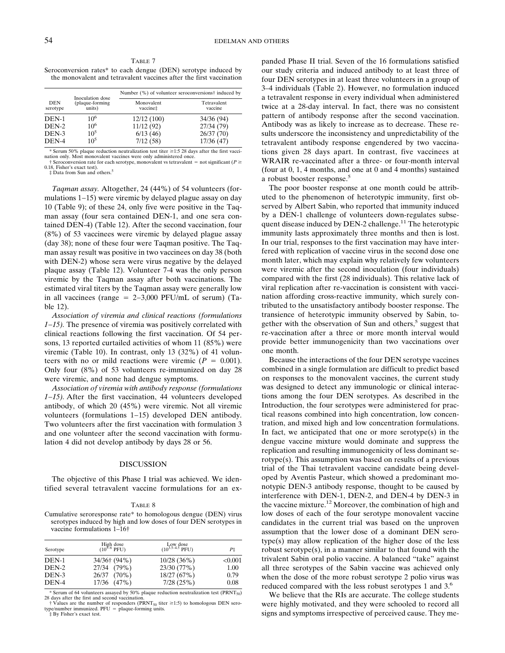TABLE 7 Seroconversion rates\* to each dengue (DEN) serotype induced by the monovalent and tetravalent vaccines after the first vaccination

|                 |                                               | Number (%) of volunteer seroconversions <sup>†</sup> induced by |                        |  |  |  |  |
|-----------------|-----------------------------------------------|-----------------------------------------------------------------|------------------------|--|--|--|--|
| DEN<br>serotype | Inoculation dose<br>(plaque-forming<br>units) | Monovalent<br>vaccinet                                          | Tetravalent<br>vaccine |  |  |  |  |
| DEN-1           | 10 <sup>6</sup>                               | 12/12(100)                                                      | 34/36 (94)             |  |  |  |  |
| DEN-2           | $10^{6}$                                      | 11/12(92)                                                       | 27/34 (79)             |  |  |  |  |
| DEN-3           | $10^{5}$                                      | 6/13(46)                                                        | 26/37(70)              |  |  |  |  |
| DEN-4           | $10^{5}$                                      | 7/12(58)                                                        | 17/36(47)              |  |  |  |  |

\* Serum 50% plaque reduction neutralization test titer  $\geq 1.5$  28 days after the first vaccination only. Most monovalent vaccines were only administered once.

 $\dagger$  Seroconversion rate for each serotype, monovalent vs tetravalent = not significant ( $P \geq$ 0.18, Fisher's exact test).

‡ Data from Sun and others.5

*Taqman assay.* Altogether, 24 (44%) of 54 volunteers (formulations 1−15) were viremic by delayed plague assay on day 10 (Table 9); of these 24, only five were positive in the Taqman assay (four sera contained DEN-1, and one sera contained DEN-4) (Table 12). After the second vaccination, four (8%) of 53 vaccinees were viremic by delayed plague assay (day 38); none of these four were Taqman positive. The Taqman assay result was positive in two vaccinees on day 38 (both with DEN-2) whose sera were virus negative by the delayed plaque assay (Table 12). Volunteer 7-4 was the only person viremic by the Taqman assay after both vaccinations. The estimated viral titers by the Taqman assay were generally low in all vaccinees (range 2−3,000 PFU/mL of serum) (Table 12).

*Association of viremia and clinical reactions (formulations 1−15)*. The presence of viremia was positively correlated with clinical reactions following the first vaccination. Of 54 persons, 13 reported curtailed activities of whom 11 (85%) were viremic (Table 10). In contrast, only 13 (32%) of 41 volunteers with no or mild reactions were viremic  $(P = 0.001)$ . Only four (8%) of 53 volunteers re-immunized on day 28 were viremic, and none had dengue symptoms.

*Association of viremia with antibody response (formulations 1−15*). After the first vaccination, 44 volunteers developed antibody, of which 20 (45%) were viremic. Not all viremic volunteers (formulations 1−15) developed DEN antibody. Two volunteers after the first vaccination with formulation 3 and one volunteer after the second vaccination with formulation 4 did not develop antibody by days 28 or 56.

### **DISCUSSION**

The objective of this Phase I trial was achieved. We identified several tetravalent vaccine formulations for an ex-

### TABLE 8

Cumulative seroresponse rate\* to homologous dengue (DEN) virus serotypes induced by high and low doses of four DEN serotypes in vaccine formulations 1–16†

| Serotype                | High dose<br>$(10^{3-6}$ PFU)              | Low dose<br>( $10^{3.5-4.5}$ PFU)        | Р‡                         |
|-------------------------|--------------------------------------------|------------------------------------------|----------------------------|
| DEN-1<br>DEN-2<br>DEN-3 | 34/36† (94%)<br>27/34 (79%)<br>26/37 (70%) | 10/28(36%)<br>23/30 (77%)<br>18/27 (67%) | ${<}0.001$<br>1.00<br>0.79 |
| DEN-4                   | 17/36 (47%)                                | 7/28(25%)                                | 0.08                       |

\* Serum of 64 volunteers assayed by 50% plaque reduction neutralization test ( $\text{PRNT}_{50}$ ) 28 days after the first and second vaccination.

† Values are the number of responders (PRNT<sub>50</sub> titer ≥1:5) to homologous DEN sero-type/number immunized. PFU = plaque-forming units. ‡ By Fisher's exact test.

panded Phase II trial. Seven of the 16 formulations satisfied our study criteria and induced antibody to at least three of four DEN serotypes in at least three volunteers in a group of 3–4 individuals (Table 2). However, no formulation induced a tetravalent response in every individual when administered twice at a 28-day interval. In fact, there was no consistent pattern of antibody response after the second vaccination. Antibody was as likely to increase as to decrease. These results underscore the inconsistency and unpredictability of the tetravalent antibody response engendered by two vaccinations given 28 days apart. In contrast, five vaccinees at WRAIR re-vaccinated after a three- or four-month interval (four at 0, 1, 4 months, and one at 0 and 4 months) sustained a robust booster response.<sup>5</sup>

The poor booster response at one month could be attributed to the phenomenon of heterotypic immunity, first observed by Albert Sabin, who reported that immunity induced by a DEN-1 challenge of volunteers down-regulates subsequent disease induced by DEN-2 challenge.<sup>11</sup> The heterotypic immunity lasts approximately three months and then is lost. In our trial, responses to the first vaccination may have interfered with replication of vaccine virus in the second dose one month later, which may explain why relatively few volunteers were viremic after the second inoculation (four individuals) compared with the first (28 individuals). This relative lack of viral replication after re-vaccination is consistent with vaccination affording cross-reactive immunity, which surely contributed to the unsatisfactory antibody booster response. The transience of heterotypic immunity observed by Sabin, together with the observation of Sun and others,<sup>5</sup> suggest that re-vaccination after a three or more month interval would provide better immunogenicity than two vaccinations over one month.

Because the interactions of the four DEN serotype vaccines combined in a single formulation are difficult to predict based on responses to the monovalent vaccines, the current study was designed to detect any immunologic or clinical interactions among the four DEN serotypes. As described in the Introduction, the four serotypes were administered for practical reasons combined into high concentration, low concentration, and mixed high and low concentration formulations. In fact, we anticipated that one or more serotype $(s)$  in the dengue vaccine mixture would dominate and suppress the replication and resulting immunogenicity of less dominant serotype(s). This assumption was based on results of a previous trial of the Thai tetravalent vaccine candidate being developed by Aventis Pasteur, which showed a predominant monotypic DEN-3 antibody response, thought to be caused by interference with DEN-1, DEN-2, and DEN-4 by DEN-3 in the vaccine mixture.12 Moreover, the combination of high and low doses of each of the four serotype monovalent vaccine candidates in the current trial was based on the unproven assumption that the lower dose of a dominant DEN serotype(s) may allow replication of the higher dose of the less robust serotype(s), in a manner similar to that found with the trivalent Sabin oral polio vaccine. A balanced "take" against all three serotypes of the Sabin vaccine was achieved only when the dose of the more robust serotype 2 polio virus was reduced compared with the less robust serotypes 1 and 3.6

We believe that the RIs are accurate. The college students were highly motivated, and they were schooled to record all signs and symptoms irrespective of perceived cause. They me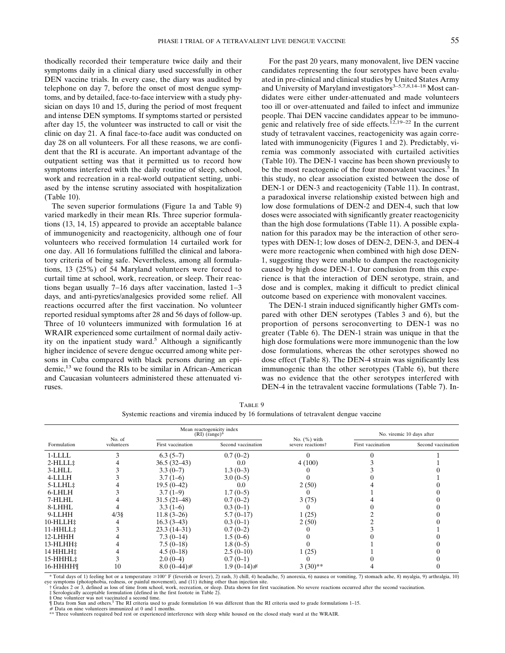thodically recorded their temperature twice daily and their symptoms daily in a clinical diary used successfully in other DEN vaccine trials. In every case, the diary was audited by telephone on day 7, before the onset of most dengue symptoms, and by detailed, face-to-face interview with a study physician on days 10 and 15, during the period of most frequent and intense DEN symptoms. If symptoms started or persisted after day 15, the volunteer was instructed to call or visit the clinic on day 21. A final face-to-face audit was conducted on day 28 on all volunteers. For all these reasons, we are confident that the RI is accurate. An important advantage of the outpatient setting was that it permitted us to record how symptoms interfered with the daily routine of sleep, school, work and recreation in a real-world outpatient setting, unbiased by the intense scrutiny associated with hospitalization (Table 10).

The seven superior formulations (Figure 1a and Table 9) varied markedly in their mean RIs. Three superior formulations (13, 14, 15) appeared to provide an acceptable balance of immunogenicity and reactogenicity, although one of four volunteers who received formulation 14 curtailed work for one day. All 16 formulations fulfilled the clinical and laboratory criteria of being safe. Nevertheless, among all formulations, 13 (25%) of 54 Maryland volunteers were forced to curtail time at school, work, recreation, or sleep. Their reactions began usually 7−16 days after vaccination, lasted 1−3 days, and anti-pyretics/analgesics provided some relief. All reactions occurred after the first vaccination. No volunteer reported residual symptoms after 28 and 56 days of follow-up. Three of 10 volunteers immunized with formulation 16 at WRAIR experienced some curtailment of normal daily activity on the inpatient study ward.<sup>5</sup> Although a significantly higher incidence of severe dengue occurred among white persons in Cuba compared with black persons during an epidemic,13 we found the RIs to be similar in African-American and Caucasian volunteers administered these attenuated viruses.

For the past 20 years, many monovalent, live DEN vaccine candidates representing the four serotypes have been evaluated in pre-clinical and clinical studies by United States Army and University of Maryland investigators $3-5,7,8,14-18$  Most candidates were either under-attenuated and made volunteers too ill or over-attenuated and failed to infect and immunize people. Thai DEN vaccine candidates appear to be immunogenic and relatively free of side effects.12,19–22 In the current study of tetravalent vaccines, reactogenicity was again correlated with immunogenicity (Figures 1 and 2). Predictably, viremia was commonly associated with curtailed activities (Table 10). The DEN-1 vaccine has been shown previously to be the most reactogenic of the four monovalent vaccines.<sup>5</sup> In this study, no clear association existed between the dose of DEN-1 or DEN-3 and reactogenicity (Table 11). In contrast, a paradoxical inverse relationship existed between high and low dose formulations of DEN-2 and DEN-4, such that low doses were associated with significantly greater reactogenicity than the high dose formulations (Table 11). A possible explanation for this paradox may be the interaction of other serotypes with DEN-1; low doses of DEN-2, DEN-3, and DEN-4 were more reactogenic when combined with high dose DEN-1, suggesting they were unable to dampen the reactogenicity caused by high dose DEN-1. Our conclusion from this experience is that the interaction of DEN serotype, strain, and dose and is complex, making it difficult to predict clinical outcome based on experience with monovalent vaccines.

The DEN-1 strain induced significantly higher GMTs compared with other DEN serotypes (Tables 3 and 6), but the proportion of persons seroconverting to DEN-1 was no greater (Table 6). The DEN-1 strain was unique in that the high dose formulations were more immunogenic than the low dose formulations, whereas the other serotypes showed no dose effect (Table 8). The DEN-4 strain was significantly less immunogenic than the other serotypes (Table 6), but there was no evidence that the other serotypes interfered with DEN-4 in the tetravalent vaccine formulations (Table 7). In-

| TABLE 9                                                                                 |
|-----------------------------------------------------------------------------------------|
| Systemic reactions and viremia induced by 16 formulations of tetravalent dengue vaccine |

|                      |                      |                   | Mean reactogenicity index<br>$(RI)$ (range)* |                                      | No. viremic 10 days after |                    |  |
|----------------------|----------------------|-------------------|----------------------------------------------|--------------------------------------|---------------------------|--------------------|--|
| Formulation          | No. of<br>volunteers | First vaccination | Second vaccination                           | No. $(\%)$ with<br>severe reactions? | First vaccination         | Second vaccination |  |
| 1-LLLL               |                      | $6.3(5-7)$        | $0.7(0-2)$                                   |                                      |                           |                    |  |
| $2$ -HLLL $\ddagger$ |                      | $36.5(32-43)$     | 0.0                                          | 4(100)                               |                           |                    |  |
| 3-LHLL               |                      | $3.3(0-7)$        | $1.3(0-3)$                                   |                                      |                           |                    |  |
| 4-LLLH               |                      | $3.7(1-6)$        | $3.0(0-5)$                                   |                                      |                           |                    |  |
| 5-LLHL‡              |                      | $19.5(0-42)$      | 0.0                                          | 2(50)                                |                           |                    |  |
| 6-LHLH               |                      | $3.7(1-9)$        | $1.7(0-5)$                                   |                                      |                           |                    |  |
| 7-HLHL               |                      | $31.5(21-48)$     | $0.7(0-2)$                                   | 3(75)                                |                           |                    |  |
| 8-LHHL               |                      | $3.3(1-6)$        | $0.3(0-1)$                                   |                                      |                           |                    |  |
| 9-LLHH               | $4/3$ §              | $11.8(3-26)$      | $5.7(0-17)$                                  | 1(25)                                |                           |                    |  |
| 10-HLLH‡             |                      | $16.3(3-43)$      | $0.3(0-1)$                                   | 2(50)                                |                           |                    |  |
| 11-HHLL‡             |                      | $23.3(14-31)$     | $0.7(0-2)$                                   |                                      |                           |                    |  |
| 12-LHHH              |                      | $7.3(0-14)$       | $1.5(0-6)$                                   |                                      |                           |                    |  |
| 13-HLHH <sup>:</sup> |                      | $7.5(0-18)$       | $1.8(0-5)$                                   |                                      |                           |                    |  |
| 14 HHLH‡             |                      | $4.5(0-18)$       | $2.5(0-10)$                                  | 1(25)                                |                           |                    |  |
| 15-HHHL <sup>*</sup> |                      | $2.0(0-4)$        | $0.7(0-1)$                                   |                                      |                           |                    |  |
| 16-HHHHI             | 10                   | $8.0(0-44)$ #     | $1.9(0-14)$ #                                | $3(30)**$                            |                           |                    |  |

\* Total days of 1) feeling hot or a temperature ≥100° F (feverish or fever), 2) rash, 3) chill, 4) headache, 5) anorexia, 6) nausea or vomiting, 7) stomach ache, 8) myalgia, 9) arthralgia, 10)

eye symptoms (photophobia, redness, or painful movement), and (11) itching other than injection site.<br>↑ Grades 2 or 3, defined as loss of time from school, work, recreation, or sleep. Data shown for first vaccination. No

§ One volunteer was not vaccinated a second time.<br>¶ Data from Sun and others.<sup>5</sup> The RI criteria used to grade formulation 16 was different than the RI criteria used to grade formulations 1–15.<br># Data on nine volunteers i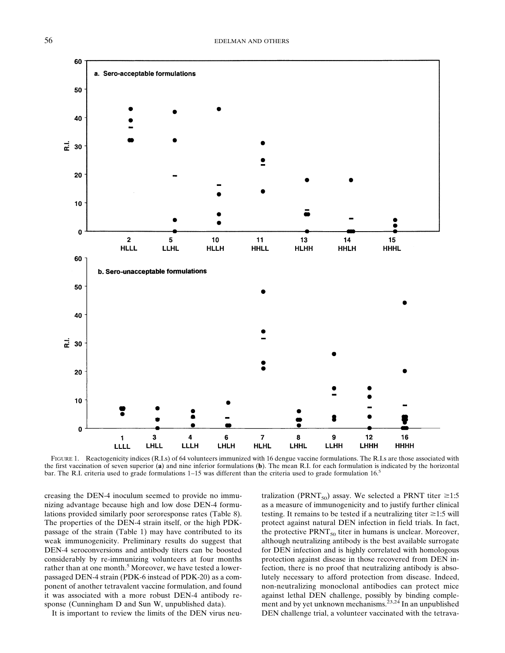

FIGURE 1. Reactogenicity indices (R.I.s) of 64 volunteers immunized with 16 dengue vaccine formulations. The R.I.s are those associated with the first vaccination of seven superior (**a**) and nine inferior formulations (**b**). The mean R.I. for each formulation is indicated by the horizontal bar. The R.I. criteria used to grade formulations 1−15 was different than the criteria used to grade formulation 16.5

creasing the DEN-4 inoculum seemed to provide no immunizing advantage because high and low dose DEN-4 formulations provided similarly poor seroresponse rates (Table 8). The properties of the DEN-4 strain itself, or the high PDKpassage of the strain (Table 1) may have contributed to its weak immunogenicity. Preliminary results do suggest that DEN-4 seroconversions and antibody titers can be boosted considerably by re-immunizing volunteers at four months rather than at one month.<sup>5</sup> Moreover, we have tested a lowerpassaged DEN-4 strain (PDK-6 instead of PDK-20) as a component of another tetravalent vaccine formulation, and found it was associated with a more robust DEN-4 antibody response (Cunningham D and Sun W, unpublished data).

It is important to review the limits of the DEN virus neu-

tralization (PRNT<sub>50</sub>) assay. We selected a PRNT titer  $\geq 1:5$ as a measure of immunogenicity and to justify further clinical testing. It remains to be tested if a neutralizing titer  $\geq 1:5$  will protect against natural DEN infection in field trials. In fact, the protective  $\text{PRNT}_{50}$  titer in humans is unclear. Moreover, although neutralizing antibody is the best available surrogate for DEN infection and is highly correlated with homologous protection against disease in those recovered from DEN infection, there is no proof that neutralizing antibody is absolutely necessary to afford protection from disease. Indeed, non-neutralizing monoclonal antibodies can protect mice against lethal DEN challenge, possibly by binding complement and by yet unknown mechanisms.<sup>23,24</sup> In an unpublished DEN challenge trial, a volunteer vaccinated with the tetrava-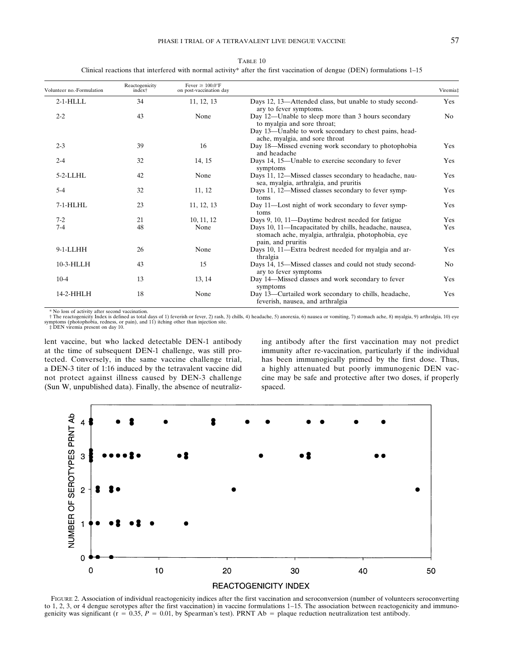|                                                                                                                        | Table 10 |  |
|------------------------------------------------------------------------------------------------------------------------|----------|--|
| Clinical reactions that interfered with normal activity* after the first vaccination of dengue (DEN) formulations 1–15 |          |  |

| Volunteer no.-Formulation | Reactogenicity<br>index <sup>†</sup> | Fever $\geq 100.0$ °F<br>on post-vaccination day |                                                                                                                                                                              | Viremia‡       |
|---------------------------|--------------------------------------|--------------------------------------------------|------------------------------------------------------------------------------------------------------------------------------------------------------------------------------|----------------|
| $2-1$ -HLLL               | 34                                   | 11, 12, 13                                       | Days 12, 13—Attended class, but unable to study second-<br>ary to fever symptoms.                                                                                            | Yes            |
| $2 - 2$                   | 43                                   | None                                             | Day 12—Unable to sleep more than 3 hours secondary<br>to myalgia and sore throat;<br>Day 13—Unable to work secondary to chest pains, head-<br>ache, myalgia, and sore throat | N <sub>o</sub> |
| $2 - 3$                   | 39                                   | 16                                               | Day 18—Missed evening work secondary to photophobia<br>and headache                                                                                                          | Yes            |
| $2 - 4$                   | 32                                   | 14, 15                                           | Days 14, 15—Unable to exercise secondary to fever<br>symptoms                                                                                                                | Yes            |
| $5-2$ -LLHL               | 42                                   | None                                             | Days 11, 12—Missed classes secondary to headache, nau-<br>sea, myalgia, arthralgia, and pruritis                                                                             | Yes            |
| $5 - 4$                   | 32                                   | 11, 12                                           | Days 11, 12—Missed classes secondary to fever symp-<br>toms                                                                                                                  | Yes            |
| $7-1$ -HLHL               | 23                                   | 11, 12, 13                                       | Day 11—Lost night of work secondary to fever symp-<br>toms                                                                                                                   | Yes            |
| $7-2$                     | 21                                   | 10, 11, 12                                       | Days 9, 10, 11—Daytime bedrest needed for fatigue                                                                                                                            | Yes            |
| $7 - 4$                   | 48                                   | None                                             | Days 10, 11—Incapacitated by chills, headache, nausea,<br>stomach ache, myalgia, arthralgia, photophobia, eye<br>pain, and pruritis                                          | Yes            |
| $9-1$ -LLHH               | 26                                   | None                                             | Days 10, 11—Extra bedrest needed for myalgia and ar-<br>thralgia                                                                                                             | Yes            |
| 10-3-HLLH                 | 43                                   | 15                                               | Days 14, 15-Missed classes and could not study second-<br>ary to fever symptoms                                                                                              | N <sub>o</sub> |
| $10-4$                    | 13                                   | 13, 14                                           | Day 14—Missed classes and work secondary to fever<br>symptoms                                                                                                                | Yes            |
| 14-2-HHLH                 | 18                                   | None                                             | Day 13—Curtailed work secondary to chills, headache,<br>feverish, nausea, and arthralgia                                                                                     | Yes            |

\* No loss of activity after second vaccination.<br>† The reactogenicity Index is defined as total days of 1) feverish or fever, 2) rash, 3) chills, 4) headache, 5) anorexia, 6) nausea or vomiting, 7) stomach ache, 8) myalgia,

lent vaccine, but who lacked detectable DEN-1 antibody at the time of subsequent DEN-1 challenge, was still protected. Conversely, in the same vaccine challenge trial, a DEN-3 titer of 1:16 induced by the tetravalent vaccine did not protect against illness caused by DEN-3 challenge (Sun W, unpublished data). Finally, the absence of neutraliz-

ing antibody after the first vaccination may not predict immunity after re-vaccination, particularly if the individual has been immunogically primed by the first dose. Thus, a highly attenuated but poorly immunogenic DEN vaccine may be safe and protective after two doses, if properly spaced.



FIGURE 2. Association of individual reactogenicity indices after the first vaccination and seroconversion (number of volunteers seroconverting to 1, 2, 3, or 4 dengue serotypes after the first vaccination) in vaccine formulations 1−15. The association between reactogenicity and immunogenicity was significant ( $r = 0.35$ ,  $P = 0.01$ , by Spearman's test). PRNT Ab = plaque reduction neutralization test antibody.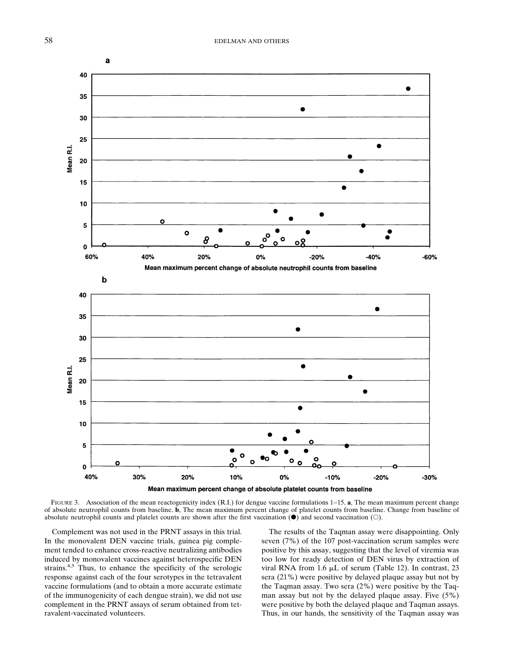

FIGURE 3. Association of the mean reactogenicity index (R.I.) for dengue vaccine formulations 1−15. **a**, The mean maximum percent change of absolute neutrophil counts from baseline. **b**, The mean maximum percent change of platelet counts from baseline. Change from baseline of absolute neutrophil counts and platelet counts are shown after the first vaccination  $(\bullet)$  and second vaccination  $(\circ)$ .

Complement was not used in the PRNT assays in this trial. In the monovalent DEN vaccine trials, guinea pig complement tended to enhance cross-reactive neutralizing antibodies induced by monovalent vaccines against heterospecific DEN strains.<sup>4,5</sup> Thus, to enhance the specificity of the serologic response against each of the four serotypes in the tetravalent vaccine formulations (and to obtain a more accurate estimate of the immunogenicity of each dengue strain), we did not use complement in the PRNT assays of serum obtained from tetravalent-vaccinated volunteers.

The results of the Taqman assay were disappointing. Only seven (7%) of the 107 post-vaccination serum samples were positive by this assay, suggesting that the level of viremia was too low for ready detection of DEN virus by extraction of viral RNA from 1.6  $\mu$ L of serum (Table 12). In contrast, 23 sera (21%) were positive by delayed plaque assay but not by the Taqman assay. Two sera (2%) were positive by the Taqman assay but not by the delayed plaque assay. Five (5%) were positive by both the delayed plaque and Taqman assays. Thus, in our hands, the sensitivity of the Taqman assay was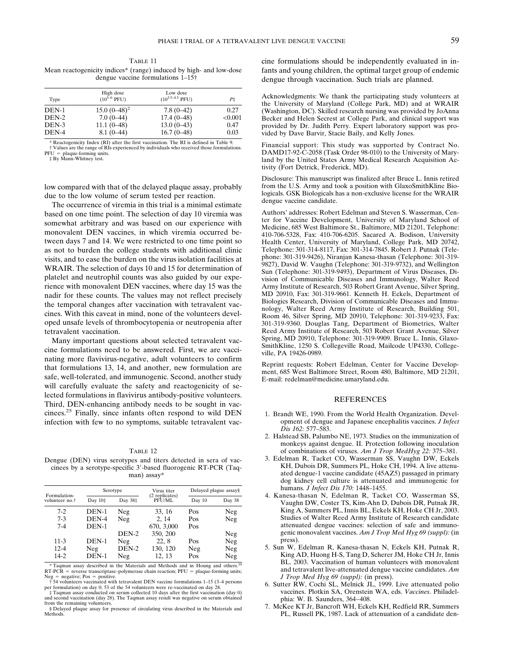TABLE 11 Mean reactogenicity indices\* (range) induced by high- and low-dose dengue vaccine formulations 1–15†

| Type  | High dose<br>$(10^{5-6} \text{ PFU})$ | Low dose<br>$(10^{3.5-4.5}$ PFU) | Р‡      |
|-------|---------------------------------------|----------------------------------|---------|
| DEN-1 | $15.0~(0-48)^2$                       | $7.8(0-42)$                      | 0.27    |
| DEN-2 | $7.0(0-44)$                           | $17.4(0-48)$                     | < 0.001 |
| DEN-3 | $11.1(0-48)$                          | $13.0(0-43)$                     | 0.47    |
| DEN-4 | $8.1(0-44)$                           | $16.7(0-48)$                     | 0.03    |

\* Reactogenicity Index (RI) after the first vaccination. The RI is defined in Table 9. † Values are the range of RIs experienced by individuals who received those formulations.

PFU plaque-forming units. ‡ By Mann-Whitney test.

low compared with that of the delayed plaque assay, probably due to the low volume of serum tested per reaction.

The occurrence of viremia in this trial is a minimal estimate based on one time point. The selection of day 10 viremia was somewhat arbitrary and was based on our experience with monovalent DEN vaccines, in which viremia occurred between days 7 and 14. We were restricted to one time point so as not to burden the college students with additional clinic visits, and to ease the burden on the virus isolation facilities at WRAIR. The selection of days 10 and 15 for determination of platelet and neutrophil counts was also guided by our experience with monovalent DEN vaccines, where day 15 was the nadir for these counts. The values may not reflect precisely the temporal changes after vaccination with tetravalent vaccines. With this caveat in mind, none of the volunteers developed unsafe levels of thrombocytopenia or neutropenia after tetravalent vaccination.

Many important questions about selected tetravalent vaccine formulations need to be answered. First, we are vaccinating more flavivirus-negative, adult volunteers to confirm that formulations 13, 14, and another, new formulation are safe, well-tolerated, and immunogenic. Second, another study will carefully evaluate the safety and reactogenicity of selected formulations in flavivirus antibody-positive volunteers. Third, DEN-enhancing antibody needs to be sought in vaccinees.25 Finally, since infants often respond to wild DEN infection with few to no symptoms, suitable tetravalent vac-

|--|--|

Dengue (DEN) virus serotypes and titers detected in sera of vaccinees by a serotype-specific 3--based fluorogenic RT-PCR (Taqman) assay\*

| Formulation-<br>volunteer no. <sup>†</sup> | Serotype  |         | Virus titer              | Delayed plague assay§ |        |
|--------------------------------------------|-----------|---------|--------------------------|-----------------------|--------|
|                                            | Day $10‡$ | Day 38‡ | (2 replicates)<br>PFU/ML | Day 10                | Day 38 |
| $7-2$                                      | DEN-1     | Neg     | 33, 16                   | Pos                   | Neg    |
| $7 - 3$                                    | DEN-4     | Neg     | 2, 14                    | Pos                   | Neg    |
| $7 - 4$                                    | $DEN-1$   |         | 670, 3,000               | Pos                   |        |
|                                            |           | DEN-2   | 350, 200                 |                       | Neg    |
| $11-3$                                     | DEN-1     | Neg     | 22, 8                    | Pos                   | Neg    |
| $12 - 4$                                   | Neg       | DEN-2   | 130, 120                 | Neg                   | Neg    |
| 14-2                                       | DEN-1     | Neg     | 12.13                    | Pos                   | Neg    |

\* Taqman assay described in the Materials and Methods and in Houng and others.10  $RT-PCR$  = reverse transcriptase–polymerase chain reaction;  $PFU$  = plaque-forming units;<br>Neg = negative; Pos = positive.

† 54 volunteers vaccinated with tetravalent DEN vaccine formulations 1–15 (3–4 persons

per formulation) on day 0; 53 of the 54 volunteers were re-vaccinated on day 28. ‡ Taqman assay conducted on serum collected 10 days after the first vaccination (day 0) and second vaccination (day 28). The Taqman assay result was negative on serum obtained from the remaining volunteers.

§ Delayed plaque assay for presence of circulating virus described in the Materials and Methods.

cine formulations should be independently evaluated in infants and young children, the optimal target group of endemic dengue through vaccination. Such trials are planned.

Acknowledgments: We thank the participating study volunteers at the University of Maryland (College Park, MD) and at WRAIR (Washington, DC). Skilled research nursing was provided by JoAnna Becker and Helen Secrest at College Park, and clinical support was provided by Dr. Judith Perry. Expert laboratory support was provided by Dave Barvir, Stacie Baily, and Kelly Jones.

Financial support: This study was supported by Contract No. DAMD17-92-C-2058 (Task Order 98-010) to the University of Maryland by the United States Army Medical Research Acquisition Activity (Fort Detrick, Frederick, MD).

Disclosure: This manuscript was finalized after Bruce L. Innis retired from the U.S. Army and took a position with GlaxoSmithKline Biologicals. GSK Biologicals has a non-exclusive license for the WRAIR dengue vaccine candidate.

Authors' addresses: Robert Edelman and Steven S. Wasserman, Center for Vaccine Development, University of Maryland School of Medicine, 685 West Baltimore St., Baltimore, MD 21201, Telephone: 410-706-5328, Fax: 410-706-6205. Sacared A. Bodison, University Health Center, University of Maryland, College Park, MD 20742, Telephone: 301-314-8117, Fax: 301-314-7845. Robert J. Putnak (Telephone: 301-319-9426), Niranjan Kanesa-thasan (Telephone: 301-319- 9827), David W. Vaughn (Telephone: 301-319-9732), and Wellington Sun (Telephone: 301-319-9493), Department of Virus Diseases, Division of Communicable Diseases and Immunology, Walter Reed Army Institute of Research, 503 Robert Grant Avenue, Silver Spring, MD 20910, Fax: 301-319-9661. Kenneth H. Eckels, Department of Biologics Research, Division of Communicable Diseases and Immunology, Walter Reed Army Institute of Research, Building 501, Room 46, Silver Spring, MD 20910, Telephone: 301-319-9233, Fax: 301-319-9360. Douglas Tang, Department of Biometrics, Walter Reed Army Institute of Research, 503 Robert Grant Avenue, Silver Spring, MD 20910, Telephone: 301-319-9909. Bruce L. Innis, Glaxo-SmithKline, 1250 S. Collegeville Road, Mailcode UP4330, Collegeville, PA 19426-0989.

Reprint requests: Robert Edelman, Center for Vaccine Development, 685 West Baltimore Street, Room 480, Baltimore, MD 21201, E-mail: redelman@medicine.umaryland.edu.

### REFERENCES

- 1. Brandt WE, 1990. From the World Health Organization. Development of dengue and Japanese encephalitis vaccines. *J Infect Dis 162:* 577–583.
- 2. Halstead SB, Palumbo NE, 1973. Studies on the immunization of monkeys against dengue. II. Protection following inoculation of combinations of viruses. *Am J Trop MedHyg 22:* 375–381.
- 3. Edelman R, Tacket CO, Wasserman SS, Vaughn DW, Eckels KH, Dubois DR, Summers PL, Hoke CH, 1994. A live attenuated dengue-1 vaccine candidate (45AZ5) passaged in primary dog kidney cell culture is attenuated and immunogenic for humans. *J Infect Dis 170:* 1448–1455.
- 4. Kanesa-thasan N, Edelman R, Tacket CO, Wasserman SS, Vaughn DW, Coster TS, Kim-Ahn D, Dubois DR, Putnak JR, King A, Summers PL, Innis BL, Eckels KH, Hoke CH Jr, 2003. Studies of Walter Reed Army Institute of Research candidate attenuated dengue vaccines: selection of safe and immunogenic monovalent vaccines. *Am J Trop Med Hyg 69 (suppl):* (in press).
- 5. Sun W, Edelman R, Kanesa-thasan N, Eckels KH, Putnak R, King AD, Huong H-S, Tang D, Scherer JM, Hoke CH Jr, Innis BL. 2003. Vaccination of human volunteers with monovalent and tetravalent live-attenuated dengue vaccine candidates. *Am J Trop Med Hyg 69 (suppl):* (in press).
- 6. Sutter RW, Cochi SL, Melnick JL, 1999. Live attenuated polio vaccines. Plotkin SA, Orenstein WA, eds. *Vaccines*. Philadelphia: W. B. Saunders, 364−408.
- 7. McKee KT Jr, Bancroft WH, Eckels KH, Redfield RR, Summers PL, Russell PK, 1987. Lack of attenuation of a candidate den-